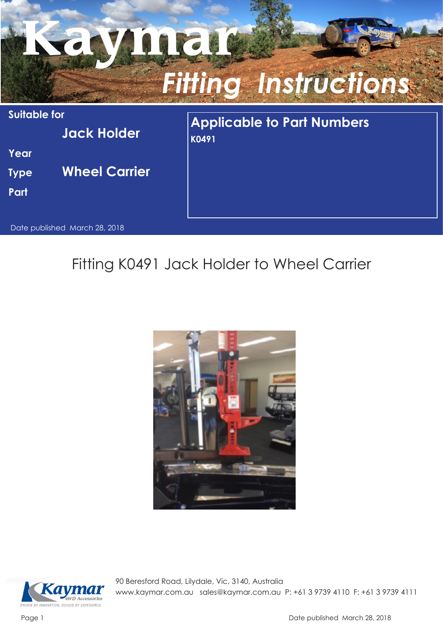

## Fitting K0491 Jack Holder to Wheel Carrier





90 Beresford Road, Lilydale, Vic, 3140, Australia www.kaymar.com.au sales@kaymar.com.au P: +61 3 9739 4110 F: +61 3 9739 4111

Page 1 Date published March 28, 2018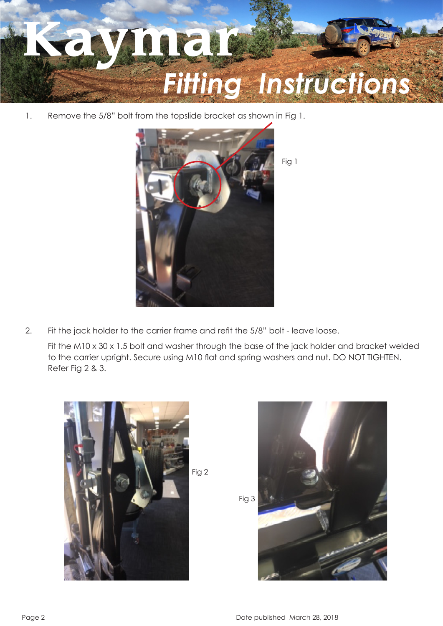

1. Remove the 5/8" bolt from the topslide bracket as shown in Fig 1.



2. Fit the jack holder to the carrier frame and refit the 5/8" bolt - leave loose.

Fit the M10 x 30 x 1.5 bolt and washer through the base of the jack holder and bracket welded to the carrier upright. Secure using M10 flat and spring washers and nut. DO NOT TIGHTEN. Refer Fig 2 & 3.



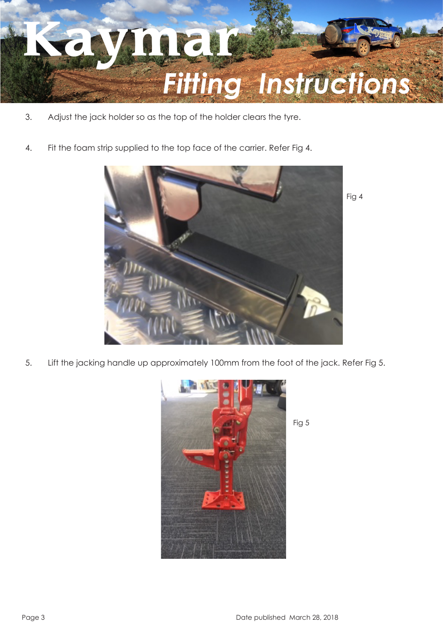

- 3. Adjust the jack holder so as the top of the holder clears the tyre.
- 4. Fit the foam strip supplied to the top face of the carrier. Refer Fig 4.



5. Lift the jacking handle up approximately 100mm from the foot of the jack. Refer Fig 5.



Fig 5